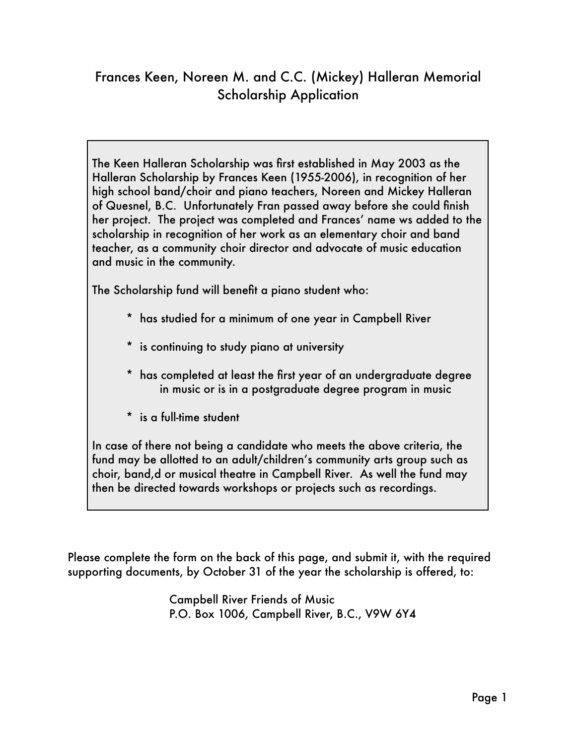## Frances Keen, Noreen M. and C.C. (Mickey) Halleran Memorial Scholarship Application

The Keen Halleran Scholarship was first established in May 2003 as the Halleran Scholarship by Frances Keen (1955-2006), in recognition of her high school band/choir and piano teachers, Noreen and Mickey Halleran of Quesnel, B.C. Unfortunately Fran passed away before she could finish her project. The project was completed and Frances' name ws added to the scholarship in recognition of her work as an elementary choir and band teacher, as a community choir director and advocate of music education and music in the community.

The Scholarship fund will benefit a piano student who:

- \* has studied for a minimum of one year in Campbell River
- \* is continuing to study piano at university
- \* has completed at least the first year of an undergraduate degree in music or is in a postgraduate degree program in music
- \* is a full-time student

In case of there not being a candidate who meets the above criteria, the fund may be allotted to an adult/children's community arts group such as choir, band,d or musical theatre in Campbell River. As well the fund may then be directed towards workshops or projects such as recordings.

Please complete the form on the back of this page, and submit it, with the required supporting documents, by October 31 of the year the scholarship is offered, to:

> Campbell River Friends of Music P.O. Box 1006, Campbell River, B.C., V9W 6Y4